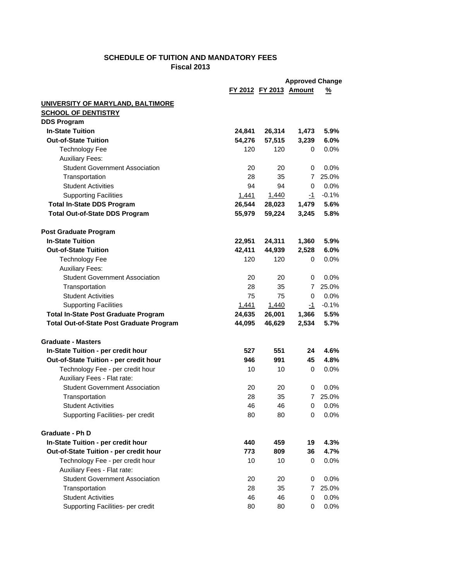## **SCHEDULE OF TUITION AND MANDATORY FEES Fiscal 2013**

|                                                 | <b>Approved Change</b> |                               |                |         |  |  |
|-------------------------------------------------|------------------------|-------------------------------|----------------|---------|--|--|
|                                                 |                        | <b>FY 2012 FY 2013 Amount</b> |                | %       |  |  |
| <b>UNIVERSITY OF MARYLAND, BALTIMORE</b>        |                        |                               |                |         |  |  |
| <b>SCHOOL OF DENTISTRY</b>                      |                        |                               |                |         |  |  |
| <b>DDS Program</b>                              |                        |                               |                |         |  |  |
| <b>In-State Tuition</b>                         | 24,841                 | 26,314                        | 1,473          | 5.9%    |  |  |
| <b>Out-of-State Tuition</b>                     | 54,276                 | 57,515                        | 3,239          | 6.0%    |  |  |
| <b>Technology Fee</b>                           | 120                    | 120                           | 0              | 0.0%    |  |  |
| <b>Auxiliary Fees:</b>                          |                        |                               |                |         |  |  |
| <b>Student Government Association</b>           | 20                     | 20                            | 0              | $0.0\%$ |  |  |
| Transportation                                  | 28                     | 35                            | 7              | 25.0%   |  |  |
| <b>Student Activities</b>                       | 94                     | 94                            | 0              | 0.0%    |  |  |
| <b>Supporting Facilities</b>                    | 1,441                  | 1,440                         | -1             | $-0.1%$ |  |  |
| <b>Total In-State DDS Program</b>               | 26,544                 | 28,023                        | 1,479          | 5.6%    |  |  |
| <b>Total Out-of-State DDS Program</b>           | 55,979                 | 59,224                        | 3,245          | 5.8%    |  |  |
| <b>Post Graduate Program</b>                    |                        |                               |                |         |  |  |
| <b>In-State Tuition</b>                         | 22,951                 | 24,311                        | 1,360          | 5.9%    |  |  |
| <b>Out-of-State Tuition</b>                     | 42,411                 | 44,939                        | 2,528          | 6.0%    |  |  |
| <b>Technology Fee</b>                           | 120                    | 120                           | 0              | $0.0\%$ |  |  |
| <b>Auxiliary Fees:</b>                          |                        |                               |                |         |  |  |
| <b>Student Government Association</b>           | 20                     | 20                            | 0              | 0.0%    |  |  |
| Transportation                                  | 28                     | 35                            | $\overline{7}$ | 25.0%   |  |  |
| <b>Student Activities</b>                       | 75                     | 75                            | 0              | 0.0%    |  |  |
| <b>Supporting Facilities</b>                    | <u>1,441</u>           | 1,440                         | -1             | $-0.1%$ |  |  |
| <b>Total In-State Post Graduate Program</b>     | 24,635                 | 26,001                        | 1,366          | 5.5%    |  |  |
| <b>Total Out-of-State Post Graduate Program</b> | 44,095                 | 46,629                        | 2,534          | 5.7%    |  |  |
| <b>Graduate - Masters</b>                       |                        |                               |                |         |  |  |
| In-State Tuition - per credit hour              | 527                    | 551                           | 24             | 4.6%    |  |  |
| Out-of-State Tuition - per credit hour          | 946                    | 991                           | 45             | 4.8%    |  |  |
| Technology Fee - per credit hour                | 10                     | 10                            | 0              | $0.0\%$ |  |  |
| Auxiliary Fees - Flat rate:                     |                        |                               |                |         |  |  |
| <b>Student Government Association</b>           | 20                     | 20                            | 0              | 0.0%    |  |  |
| Transportation                                  | 28                     | 35                            | $\overline{7}$ | 25.0%   |  |  |
| <b>Student Activities</b>                       | 46                     | 46                            | 0              | 0.0%    |  |  |
| Supporting Facilities- per credit               | 80                     | 80                            | 0              | 0.0%    |  |  |
| Graduate - Ph D                                 |                        |                               |                |         |  |  |
| In-State Tuition - per credit hour              | 440                    | 459                           | 19             | 4.3%    |  |  |
| Out-of-State Tuition - per credit hour          | 773                    | 809                           | 36             | 4.7%    |  |  |
| Technology Fee - per credit hour                | 10                     | 10                            | 0              | 0.0%    |  |  |
| Auxiliary Fees - Flat rate:                     |                        |                               |                |         |  |  |
| <b>Student Government Association</b>           | 20                     | 20                            | 0              | 0.0%    |  |  |
| Transportation                                  | 28                     | 35                            | 7              | 25.0%   |  |  |
| <b>Student Activities</b>                       | 46                     | 46                            | 0              | 0.0%    |  |  |
| Supporting Facilities- per credit               | 80                     | 80                            | 0              | 0.0%    |  |  |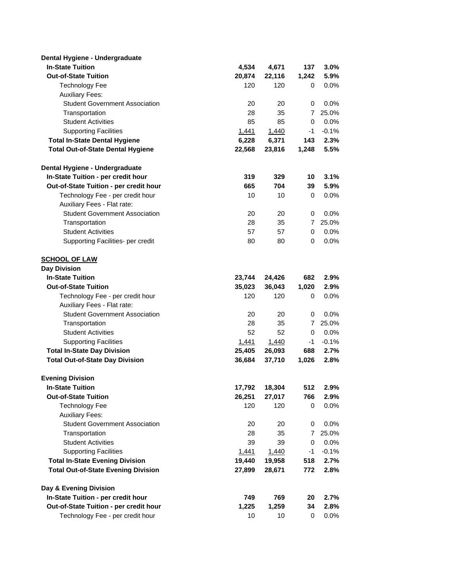| Dental Hygiene - Undergraduate             |        |        |                |         |
|--------------------------------------------|--------|--------|----------------|---------|
| <b>In-State Tuition</b>                    | 4,534  | 4,671  | 137            | 3.0%    |
| <b>Out-of-State Tuition</b>                | 20,874 | 22,116 | 1,242          | 5.9%    |
| <b>Technology Fee</b>                      | 120    | 120    | 0              | $0.0\%$ |
| <b>Auxiliary Fees:</b>                     |        |        |                |         |
| <b>Student Government Association</b>      | 20     | 20     | 0              | 0.0%    |
| Transportation                             | 28     | 35     | $\overline{7}$ | 25.0%   |
| <b>Student Activities</b>                  | 85     | 85     | 0              | 0.0%    |
| <b>Supporting Facilities</b>               | 1,441  | 1,440  | -1             | $-0.1%$ |
| <b>Total In-State Dental Hygiene</b>       | 6,228  | 6,371  | 143            | 2.3%    |
| <b>Total Out-of-State Dental Hygiene</b>   | 22,568 | 23,816 | 1,248          | 5.5%    |
| Dental Hygiene - Undergraduate             |        |        |                |         |
| In-State Tuition - per credit hour         | 319    | 329    | 10             | 3.1%    |
| Out-of-State Tuition - per credit hour     | 665    | 704    | 39             | 5.9%    |
| Technology Fee - per credit hour           | 10     | 10     | 0              | $0.0\%$ |
| Auxiliary Fees - Flat rate:                |        |        |                |         |
| <b>Student Government Association</b>      | 20     | 20     | 0              | 0.0%    |
| Transportation                             | 28     | 35     | 7              | 25.0%   |
| <b>Student Activities</b>                  | 57     | 57     | 0              | 0.0%    |
| Supporting Facilities- per credit          | 80     | 80     | 0              | 0.0%    |
| <b>SCHOOL OF LAW</b>                       |        |        |                |         |
| <b>Day Division</b>                        |        |        |                |         |
| <b>In-State Tuition</b>                    | 23,744 | 24,426 | 682            | 2.9%    |
| <b>Out-of-State Tuition</b>                | 35,023 | 36,043 | 1,020          | 2.9%    |
| Technology Fee - per credit hour           | 120    | 120    | 0              | $0.0\%$ |
| Auxiliary Fees - Flat rate:                |        |        |                |         |
| <b>Student Government Association</b>      | 20     | 20     | 0              | 0.0%    |
| Transportation                             | 28     | 35     | 7              | 25.0%   |
| <b>Student Activities</b>                  | 52     | 52     | 0              | 0.0%    |
| <b>Supporting Facilities</b>               | 1,441  | 1,440  | -1             | $-0.1%$ |
| <b>Total In-State Day Division</b>         | 25,405 | 26,093 | 688            | 2.7%    |
| <b>Total Out-of-State Day Division</b>     | 36,684 | 37,710 | 1,026          | 2.8%    |
| <b>Evening Division</b>                    |        |        |                |         |
| <b>In-State Tuition</b>                    | 17,792 | 18,304 | 512            | 2.9%    |
| <b>Out-of-State Tuition</b>                | 26,251 | 27,017 | 766            | 2.9%    |
| <b>Technology Fee</b>                      | 120    | 120    | 0              | $0.0\%$ |
| <b>Auxiliary Fees:</b>                     |        |        |                |         |
| <b>Student Government Association</b>      | 20     | 20     | 0              | 0.0%    |
| Transportation                             | 28     | 35     | 7              | 25.0%   |
| <b>Student Activities</b>                  | 39     | 39     | 0              | 0.0%    |
| <b>Supporting Facilities</b>               | 1,441  | 1,440  | -1             | $-0.1%$ |
| <b>Total In-State Evening Division</b>     | 19,440 | 19,958 | 518            | 2.7%    |
| <b>Total Out-of-State Evening Division</b> | 27,899 | 28,671 | 772            | 2.8%    |
| Day & Evening Division                     |        |        |                |         |
| In-State Tuition - per credit hour         | 749    | 769    | 20             | 2.7%    |
| Out-of-State Tuition - per credit hour     | 1,225  | 1,259  | 34             | 2.8%    |
| Technology Fee - per credit hour           | 10     | 10     | 0              | 0.0%    |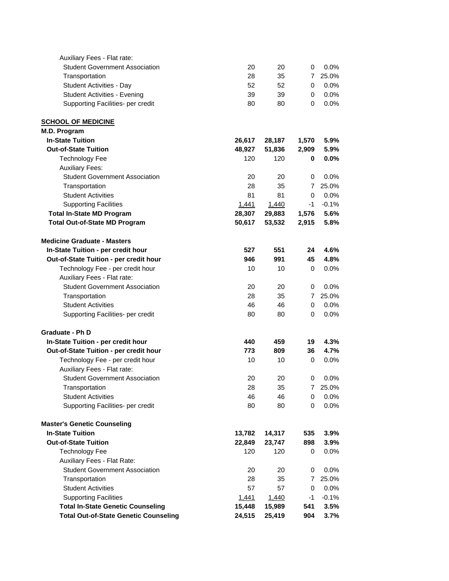| Auxiliary Fees - Flat rate:                  |              |        |                |         |
|----------------------------------------------|--------------|--------|----------------|---------|
| <b>Student Government Association</b>        | 20           | 20     | 0              | 0.0%    |
| Transportation                               | 28           | 35     | $\overline{7}$ | 25.0%   |
| Student Activities - Day                     | 52           | 52     | 0              | 0.0%    |
| <b>Student Activities - Evening</b>          | 39           | 39     | 0              | 0.0%    |
| Supporting Facilities- per credit            | 80           | 80     | 0              | 0.0%    |
| <b>SCHOOL OF MEDICINE</b>                    |              |        |                |         |
| M.D. Program                                 |              |        |                |         |
| <b>In-State Tuition</b>                      | 26,617       | 28,187 | 1,570          | 5.9%    |
| <b>Out-of-State Tuition</b>                  | 48,927       | 51,836 | 2,909          | 5.9%    |
| <b>Technology Fee</b>                        | 120          | 120    | 0              | 0.0%    |
| <b>Auxiliary Fees:</b>                       |              |        |                |         |
| <b>Student Government Association</b>        | 20           | 20     | 0              | 0.0%    |
| Transportation                               | 28           | 35     | $\overline{7}$ | 25.0%   |
| <b>Student Activities</b>                    | 81           | 81     | $\mathbf 0$    | 0.0%    |
| <b>Supporting Facilities</b>                 | <u>1,441</u> | 1,440  | -1             | $-0.1%$ |
| <b>Total In-State MD Program</b>             | 28,307       | 29,883 | 1,576          | 5.6%    |
| <b>Total Out-of-State MD Program</b>         | 50,617       | 53,532 | 2,915          | 5.8%    |
| <b>Medicine Graduate - Masters</b>           |              |        |                |         |
| In-State Tuition - per credit hour           | 527          | 551    | 24             | 4.6%    |
| Out-of-State Tuition - per credit hour       | 946          | 991    | 45             | 4.8%    |
| Technology Fee - per credit hour             | 10           | 10     | 0              | 0.0%    |
| Auxiliary Fees - Flat rate:                  |              |        |                |         |
| <b>Student Government Association</b>        | 20           | 20     | 0              | 0.0%    |
| Transportation                               | 28           | 35     | $\overline{7}$ | 25.0%   |
| <b>Student Activities</b>                    | 46           | 46     | 0              | 0.0%    |
| Supporting Facilities- per credit            | 80           | 80     | 0              | 0.0%    |
| Graduate - Ph D                              |              |        |                |         |
| In-State Tuition - per credit hour           | 440          | 459    | 19             | 4.3%    |
| Out-of-State Tuition - per credit hour       | 773          | 809    | 36             | 4.7%    |
| Technology Fee - per credit hour             | 10           | 10     | 0              | 0.0%    |
| Auxiliary Fees - Flat rate:                  |              |        |                |         |
| <b>Student Government Association</b>        | 20           | 20     | 0              | 0.0%    |
| Transportation                               | 28           | 35     | 7              | 25.0%   |
| <b>Student Activities</b>                    | 46           | 46     | 0              | 0.0%    |
| Supporting Facilities- per credit            | 80           | 80     | 0              | 0.0%    |
| <b>Master's Genetic Counseling</b>           |              |        |                |         |
| <b>In-State Tuition</b>                      | 13,782       | 14,317 | 535            | 3.9%    |
| <b>Out-of-State Tuition</b>                  | 22,849       | 23,747 | 898            | 3.9%    |
| <b>Technology Fee</b>                        | 120          | 120    | 0              | 0.0%    |
| Auxiliary Fees - Flat Rate:                  |              |        |                |         |
| <b>Student Government Association</b>        | 20           | 20     | 0              | 0.0%    |
| Transportation                               | 28           | 35     | 7              | 25.0%   |
| <b>Student Activities</b>                    | 57           | 57     | 0              | 0.0%    |
| <b>Supporting Facilities</b>                 | <u>1,441</u> | 1,440  | $-1$           | $-0.1%$ |
| <b>Total In-State Genetic Counseling</b>     | 15,448       | 15,989 | 541            | 3.5%    |
| <b>Total Out-of-State Genetic Counseling</b> | 24,515       | 25,419 | 904            | 3.7%    |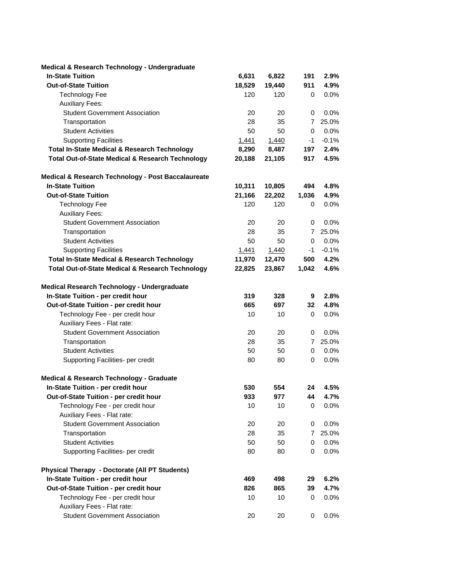| Medical & Research Technology - Undergraduate               |        |        |                |         |
|-------------------------------------------------------------|--------|--------|----------------|---------|
| <b>In-State Tuition</b>                                     | 6,631  | 6,822  | 191            | 2.9%    |
| <b>Out-of-State Tuition</b>                                 | 18,529 | 19,440 | 911            | 4.9%    |
| <b>Technology Fee</b>                                       | 120    | 120    | 0              | 0.0%    |
| <b>Auxiliary Fees:</b>                                      |        |        |                |         |
| <b>Student Government Association</b>                       | 20     | 20     | 0              | 0.0%    |
| Transportation                                              | 28     | 35     | 7              | 25.0%   |
| <b>Student Activities</b>                                   | 50     | 50     | 0              | 0.0%    |
| <b>Supporting Facilities</b>                                | 1,441  | 1,440  | $-1$           | $-0.1%$ |
| <b>Total In-State Medical &amp; Research Technology</b>     | 8,290  | 8,487  | 197            | 2.4%    |
| <b>Total Out-of-State Medical &amp; Research Technology</b> | 20,188 | 21,105 | 917            | 4.5%    |
| Medical & Research Technology - Post Baccalaureate          |        |        |                |         |
| <b>In-State Tuition</b>                                     | 10,311 | 10,805 | 494            | 4.8%    |
| <b>Out-of-State Tuition</b>                                 | 21,166 | 22,202 | 1,036          | 4.9%    |
| <b>Technology Fee</b>                                       | 120    | 120    | 0              | 0.0%    |
| <b>Auxiliary Fees:</b>                                      |        |        |                |         |
| <b>Student Government Association</b>                       | 20     | 20     | 0              | 0.0%    |
| Transportation                                              | 28     | 35     | 7              | 25.0%   |
| <b>Student Activities</b>                                   | 50     | 50     | 0              | 0.0%    |
| <b>Supporting Facilities</b>                                | 1,441  | 1,440  | -1             | $-0.1%$ |
| <b>Total In-State Medical &amp; Research Technology</b>     | 11,970 | 12,470 | 500            | 4.2%    |
| <b>Total Out-of-State Medical &amp; Research Technology</b> | 22,825 | 23,867 | 1,042          | 4.6%    |
| Medical Research Technology - Undergraduate                 |        |        |                |         |
| In-State Tuition - per credit hour                          | 319    | 328    | 9              | 2.8%    |
| Out-of-State Tuition - per credit hour                      | 665    | 697    | 32             | 4.8%    |
| Technology Fee - per credit hour                            | 10     | 10     | 0              | 0.0%    |
| Auxiliary Fees - Flat rate:                                 |        |        |                |         |
| <b>Student Government Association</b>                       | 20     | 20     | 0              | 0.0%    |
| Transportation                                              | 28     | 35     | 7              | 25.0%   |
| <b>Student Activities</b>                                   | 50     | 50     | 0              | 0.0%    |
| Supporting Facilities- per credit                           | 80     | 80     | 0              | 0.0%    |
| Medical & Research Technology - Graduate                    |        |        |                |         |
| In-State Tuition - per credit hour                          | 530    | 554    | 24             | 4.5%    |
| Out-of-State Tuition - per credit hour                      | 933    | 977    | 44             | 4.7%    |
| Technology Fee - per credit hour                            | 10     | 10     | 0              | 0.0%    |
| Auxiliary Fees - Flat rate:                                 |        |        |                |         |
| <b>Student Government Association</b>                       | 20     | 20     | 0              | 0.0%    |
| Transportation                                              | 28     | 35     | $\overline{7}$ | 25.0%   |
| <b>Student Activities</b>                                   | 50     | 50     | 0              | 0.0%    |
| Supporting Facilities- per credit                           | 80     | 80     | 0              | 0.0%    |
| <b>Physical Therapy - Doctorate (All PT Students)</b>       |        |        |                |         |
| In-State Tuition - per credit hour                          | 469    | 498    | 29             | 6.2%    |
| Out-of-State Tuition - per credit hour                      | 826    | 865    | 39             | 4.7%    |
| Technology Fee - per credit hour                            | 10     | 10     | 0              | 0.0%    |
| Auxiliary Fees - Flat rate:                                 |        |        |                |         |
| <b>Student Government Association</b>                       | 20     | 20     | 0              | 0.0%    |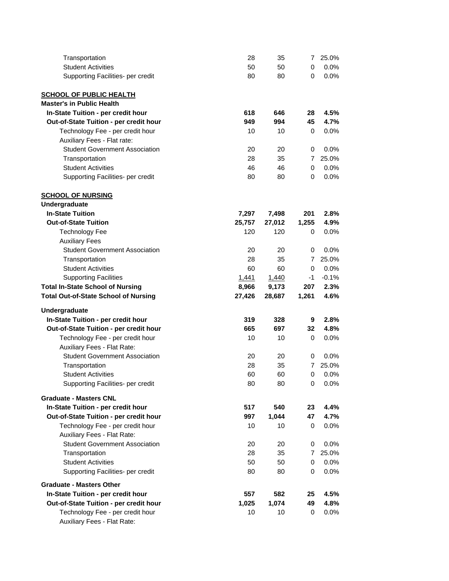| Transportation                                                  | 28       | 35       | 7           | 25.0%              |
|-----------------------------------------------------------------|----------|----------|-------------|--------------------|
| <b>Student Activities</b>                                       | 50       | 50       | $\mathbf 0$ | $0.0\%$            |
| Supporting Facilities- per credit                               | 80       | 80       | 0           | $0.0\%$            |
| <b>SCHOOL OF PUBLIC HEALTH</b>                                  |          |          |             |                    |
| <b>Master's in Public Health</b>                                |          |          |             |                    |
| In-State Tuition - per credit hour                              | 618      | 646      | 28          | 4.5%               |
| Out-of-State Tuition - per credit hour                          | 949      | 994      | 45          | 4.7%               |
| Technology Fee - per credit hour                                | 10       | 10       | 0           | $0.0\%$            |
| Auxiliary Fees - Flat rate:                                     |          |          |             |                    |
| <b>Student Government Association</b>                           | 20       | 20       | 0           | 0.0%               |
| Transportation                                                  | 28       | 35       | 7           | 25.0%              |
| <b>Student Activities</b>                                       | 46       | 46       | 0           | 0.0%               |
| Supporting Facilities- per credit                               | 80       | 80       | $\Omega$    | 0.0%               |
|                                                                 |          |          |             |                    |
| <b>SCHOOL OF NURSING</b>                                        |          |          |             |                    |
| Undergraduate                                                   |          |          |             |                    |
| <b>In-State Tuition</b>                                         | 7,297    | 7,498    | 201         | 2.8%               |
| <b>Out-of-State Tuition</b>                                     | 25,757   | 27,012   | 1,255       | 4.9%               |
| <b>Technology Fee</b>                                           | 120      | 120      | 0           | $0.0\%$            |
| <b>Auxiliary Fees</b>                                           |          |          |             |                    |
| <b>Student Government Association</b>                           | 20       | 20       | 0           | 0.0%               |
| Transportation                                                  | 28       | 35       | 7           | 25.0%              |
| <b>Student Activities</b>                                       | 60       | 60       | 0           | 0.0%               |
| <b>Supporting Facilities</b>                                    | 1,441    | 1,440    | -1          | $-0.1%$            |
| <b>Total In-State School of Nursing</b>                         | 8,966    | 9,173    | 207         | 2.3%               |
|                                                                 |          |          |             |                    |
| <b>Total Out-of-State School of Nursing</b>                     | 27,426   | 28,687   | 1,261       | 4.6%               |
| Undergraduate                                                   |          |          |             |                    |
| In-State Tuition - per credit hour                              | 319      | 328      | 9           | 2.8%               |
| Out-of-State Tuition - per credit hour                          | 665      | 697      | 32          | 4.8%               |
| Technology Fee - per credit hour                                | 10       | 10       | 0           | 0.0%               |
| Auxiliary Fees - Flat Rate:                                     |          |          |             |                    |
| <b>Student Government Association</b>                           | 20       | 20       | 0           | 0.0%               |
| Transportation                                                  | 28       | 35       | 7           | 25.0%              |
| <b>Student Activities</b>                                       | 60<br>80 | 60<br>80 | 0<br>0      | 0.0%               |
| Supporting Facilities- per credit                               |          |          |             | 0.0%               |
| <b>Graduate - Masters CNL</b>                                   |          |          |             |                    |
| In-State Tuition - per credit hour                              | 517      | 540      | 23          | 4.4%               |
| Out-of-State Tuition - per credit hour                          | 997      | 1,044    | 47          | 4.7%               |
| Technology Fee - per credit hour                                | 10       | 10       | 0           | $0.0\%$            |
| Auxiliary Fees - Flat Rate:                                     |          |          |             |                    |
| <b>Student Government Association</b>                           | 20       | 20       | 0           | 0.0%               |
| Transportation                                                  | 28       | 35       | 7           | 25.0%              |
| <b>Student Activities</b><br>Supporting Facilities- per credit  | 50<br>80 | 50<br>80 | 0<br>0      | $0.0\%$<br>$0.0\%$ |
| <b>Graduate - Masters Other</b>                                 |          |          |             |                    |
|                                                                 |          |          |             |                    |
| In-State Tuition - per credit hour                              | 557      | 582      | 25          | 4.5%               |
| Out-of-State Tuition - per credit hour                          | 1,025    | 1,074    | 49          | 4.8%               |
| Technology Fee - per credit hour<br>Auxiliary Fees - Flat Rate: | 10       | 10       | 0           | 0.0%               |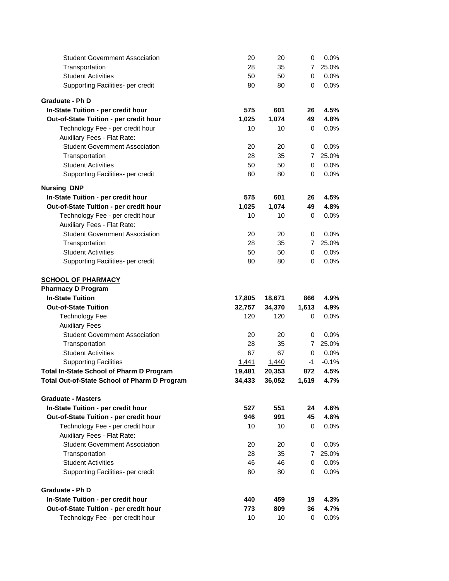| <b>Student Government Association</b>                                                           | 20               | 20               | 0                | 0.0%                    |
|-------------------------------------------------------------------------------------------------|------------------|------------------|------------------|-------------------------|
| Transportation                                                                                  | 28               | 35               | $\overline{7}$   | 25.0%                   |
| <b>Student Activities</b>                                                                       | 50               | 50               | 0                | 0.0%                    |
| Supporting Facilities- per credit                                                               | 80               | 80               | 0                | 0.0%                    |
| <b>Graduate - Ph D</b>                                                                          |                  |                  |                  |                         |
| In-State Tuition - per credit hour                                                              | 575              | 601              | 26               | 4.5%                    |
| Out-of-State Tuition - per credit hour                                                          | 1,025            | 1,074            | 49               | 4.8%                    |
| Technology Fee - per credit hour                                                                | 10               | 10               | 0                | $0.0\%$                 |
| Auxiliary Fees - Flat Rate:                                                                     |                  |                  |                  |                         |
| <b>Student Government Association</b>                                                           | 20               | 20               | 0                | 0.0%                    |
| Transportation                                                                                  | 28               | 35               | 7                | 25.0%                   |
| <b>Student Activities</b>                                                                       | 50               | 50               | 0                | 0.0%                    |
| Supporting Facilities- per credit                                                               | 80               | 80               | 0                | $0.0\%$                 |
| <b>Nursing DNP</b>                                                                              |                  |                  |                  |                         |
| In-State Tuition - per credit hour                                                              | 575              | 601              | 26               | 4.5%                    |
| Out-of-State Tuition - per credit hour                                                          | 1,025            | 1,074            | 49               | 4.8%                    |
| Technology Fee - per credit hour                                                                | 10               | 10               | 0                | $0.0\%$                 |
| Auxiliary Fees - Flat Rate:                                                                     |                  |                  |                  |                         |
| <b>Student Government Association</b>                                                           | 20               | 20               | 0                | 0.0%                    |
| Transportation                                                                                  | 28               | 35               | $\overline{7}$   | 25.0%                   |
| <b>Student Activities</b>                                                                       | 50               | 50               | 0                | 0.0%                    |
| Supporting Facilities- per credit                                                               | 80               | 80               | 0                | 0.0%                    |
| <b>SCHOOL OF PHARMACY</b>                                                                       |                  |                  |                  |                         |
| <b>Pharmacy D Program</b>                                                                       |                  |                  |                  |                         |
|                                                                                                 |                  |                  |                  |                         |
| <b>In-State Tuition</b>                                                                         |                  |                  | 866              | 4.9%                    |
|                                                                                                 | 17,805           | 18,671           |                  |                         |
| <b>Out-of-State Tuition</b>                                                                     | 32,757<br>120    | 34,370<br>120    | 1,613<br>0       | 4.9%<br>$0.0\%$         |
| <b>Technology Fee</b>                                                                           |                  |                  |                  |                         |
| <b>Auxiliary Fees</b>                                                                           |                  | 20               | 0                |                         |
| <b>Student Government Association</b>                                                           | 20               |                  | 7                | 0.0%<br>25.0%           |
| Transportation                                                                                  | 28<br>67         | 35               | 0                |                         |
| <b>Student Activities</b>                                                                       |                  | 67               |                  | 0.0%                    |
| <b>Supporting Facilities</b>                                                                    | 1,441            | 1,440            | $-1$             | $-0.1%$<br>4.5%         |
| <b>Total In-State School of Pharm D Program</b><br>Total Out-of-State School of Pharm D Program | 19,481<br>34,433 | 20,353<br>36,052 | 872<br>1,619     | 4.7%                    |
|                                                                                                 |                  |                  |                  |                         |
| <b>Graduate - Masters</b>                                                                       |                  |                  |                  |                         |
| In-State Tuition - per credit hour                                                              | 527              | 551              | 24               | 4.6%                    |
| Out-of-State Tuition - per credit hour                                                          | 946              | 991              | 45               | 4.8%                    |
| Technology Fee - per credit hour                                                                | 10               | 10               | 0                | 0.0%                    |
| Auxiliary Fees - Flat Rate:                                                                     |                  |                  |                  |                         |
| <b>Student Government Association</b>                                                           | 20               | 20               | 0                | 0.0%                    |
| Transportation                                                                                  | 28               | 35               | $\overline{7}$   | 25.0%                   |
| <b>Student Activities</b><br>Supporting Facilities- per credit                                  | 46<br>80         | 46<br>80         | $\mathbf 0$<br>0 | 0.0%<br>0.0%            |
|                                                                                                 |                  |                  |                  |                         |
| <b>Graduate - Ph D</b>                                                                          |                  |                  |                  |                         |
| In-State Tuition - per credit hour                                                              | 440              | 459              | 19               |                         |
| Out-of-State Tuition - per credit hour<br>Technology Fee - per credit hour                      | 773<br>10        | 809<br>10        | 36<br>0          | 4.3%<br>4.7%<br>$0.0\%$ |